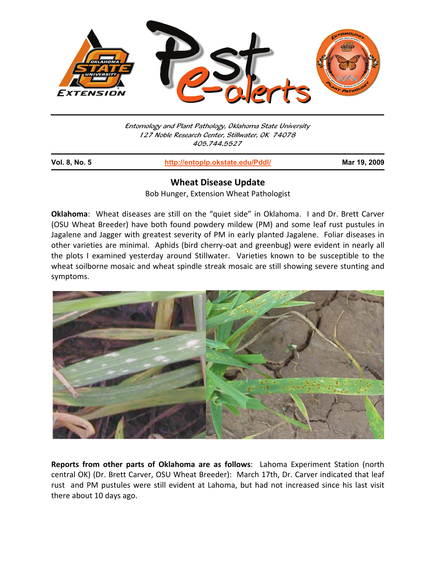

Entomology and Plant Pathology, Oklahoma State University 127 Noble Research Center, Stillwater, OK 74078 405.744.5527

İ

**Vol. 8, No. 5 http://entoplp.okstate.edu/Pddl/ Mar 19, 2009**

## **Wheat Disease Update**

Bob Hunger, Extension Wheat Pathologist

**Oklahoma**: Wheat diseases are still on the "quiet side" in Oklahoma. I and Dr. Brett Carver (OSU Wheat Breeder) have both found powdery mildew (PM) and some leaf rust pustules in Jagalene and Jagger with greatest severity of PM in early planted Jagalene. Foliar diseases in other varieties are minimal. Aphids (bird cherry-oat and greenbug) were evident in nearly all the plots I examined yesterday around Stillwater. Varieties known to be susceptible to the wheat soilborne mosaic and wheat spindle streak mosaic are still showing severe stunting and symptoms.



**Reports from other parts of Oklahoma are as follows**: Lahoma Experiment Station (north central OK) (Dr. Brett Carver, OSU Wheat Breeder): March 17th, Dr. Carver indicated that leaf rust and PM pustules were still evident at Lahoma, but had not increased since his last visit there about 10 days ago.